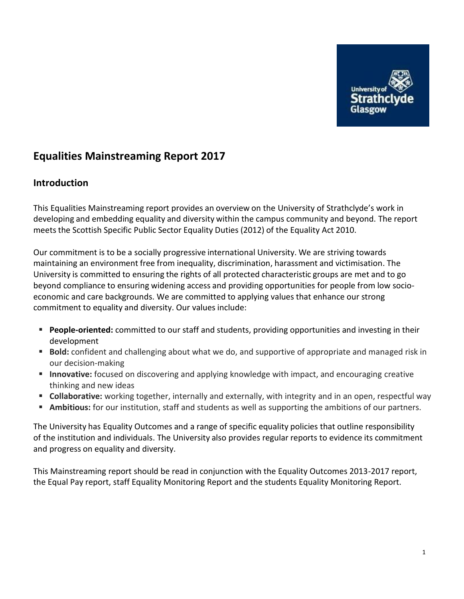

# **Equalities Mainstreaming Report 2017**

### **Introduction**

This Equalities Mainstreaming report provides an overview on the University of Strathclyde's work in developing and embedding equality and diversity within the campus community and beyond. The report meets the Scottish Specific Public Sector Equality Duties (2012) of the Equality Act 2010.

Our commitment is to be a socially progressive international University. We are striving towards maintaining an environment free from inequality, discrimination, harassment and victimisation. The University is committed to ensuring the rights of all protected characteristic groups are met and to go beyond compliance to ensuring widening access and providing opportunities for people from low socioeconomic and care backgrounds. We are committed to applying values that enhance our strong commitment to equality and diversity. Our values include:

- **People-oriented:** committed to our staff and students, providing opportunities and investing in their development
- **Bold:** confident and challenging about what we do, and supportive of appropriate and managed risk in our decision-making
- **Innovative:** focused on discovering and applying knowledge with impact, and encouraging creative thinking and new ideas
- **Collaborative:** working together, internally and externally, with integrity and in an open, respectful way
- **Ambitious:** for our institution, staff and students as well as supporting the ambitions of our partners.

The University has Equality Outcomes and a range of specific equality policies that outline responsibility of the institution and individuals. The University also provides regular reports to evidence its commitment and progress on equality and diversity.

This Mainstreaming report should be read in conjunction with the Equality Outcomes 2013-2017 report, the Equal Pay report, staff Equality Monitoring Report and the students Equality Monitoring Report.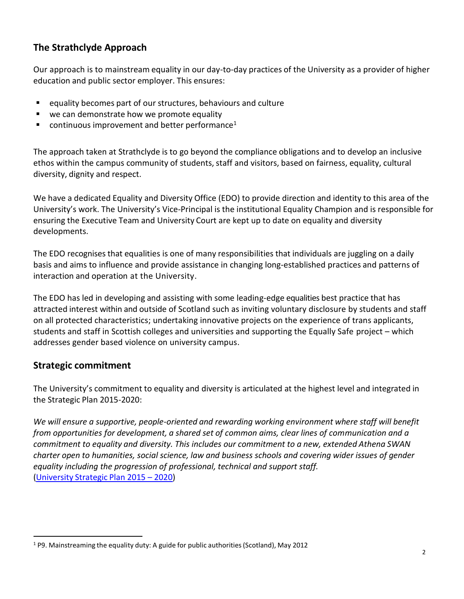# **The Strathclyde Approach**

Our approach is to mainstream equality in our day-to-day practices of the University as a provider of higher education and public sector employer. This ensures:

- equality becomes part of our structures, behaviours and culture
- we can demonstrate how we promote equality
- $\blacksquare$  continuous improvement and better performance<sup>1</sup>

The approach taken at Strathclyde is to go beyond the compliance obligations and to develop an inclusive ethos within the campus community of students, staff and visitors, based on fairness, equality, cultural diversity, dignity and respect.

We have a dedicated Equality and Diversity Office (EDO) to provide direction and identity to this area of the University's work. The University's Vice-Principal is the institutional Equality Champion and is responsible for ensuring the Executive Team and University Court are kept up to date on equality and diversity developments.

The EDO recognises that equalities is one of many responsibilities that individuals are juggling on a daily basis and aims to influence and provide assistance in changing long-established practices and patterns of interaction and operation at the University.

The EDO has led in developing and assisting with some leading-edge equalities best practice that has attracted interest within and outside of Scotland such as inviting voluntary disclosure by students and staff on all protected characteristics; undertaking innovative projects on the experience of trans applicants, students and staff in Scottish colleges and universities and supporting the Equally Safe project – which addresses gender based violence on university campus.

# **Strategic commitment**

 $\overline{a}$ 

The University's commitment to equality and diversity is articulated at the highest level and integrated in the Strategic Plan 2015-2020:

*We will ensure a supportive, people-oriented and rewarding working environment where staff will benefit from opportunities for development, a shared set of common aims, clear lines of communication and a commitment to equality and diversity. This includes our commitment to a new, extended Athena SWAN charter open to humanities, social science, law and business schools and covering wider issues of gender equality including the progression of professional, technical and support staff.* [\(University](http://www.strath.ac.uk/media/1newwebsite/documents/Strategic_Plan_2015_WEB_VERSION.pdf) Strategic Plan 2015 – 2020)

<sup>1</sup> P9. Mainstreaming the equality duty: A guide for public authorities(Scotland), May 2012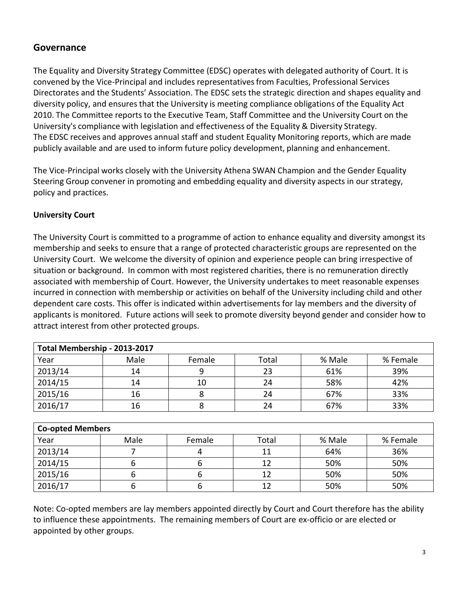### **Governance**

The Equality and Diversity Strategy Committee (EDSC) operates with delegated authority of Court. It is convened by the Vice-Principal and includes representativesfrom Faculties, Professional Services Directorates and the Students' Association. The EDSC sets the strategic direction and shapes equality and diversity policy, and ensures that the University is meeting compliance obligations of the Equality Act 2010. The Committee reports to the Executive Team, Staff Committee and the University Court on the University's compliance with legislation and effectiveness of the Equality & Diversity Strategy. The EDSC receives and approves annual staff and student Equality Monitoring reports, which are made publicly available and are used to inform future policy development, planning and enhancement.

The Vice-Principal works closely with the University Athena SWAN Champion and the Gender Equality Steering Group convener in promoting and embedding equality and diversity aspects in our strategy, policy and practices.

### **University Court**

The University Court is committed to a programme of action to enhance equality and diversity amongst its membership and seeks to ensure that a range of protected characteristic groups are represented on the University Court. We welcome the diversity of opinion and experience people can bring irrespective of situation or background. In common with most registered charities, there is no remuneration directly associated with membership of Court. However, the University undertakes to meet reasonable expenses incurred in connection with membership or activities on behalf of the University including child and other dependent care costs. This offer is indicated within advertisements for lay members and the diversity of applicants is monitored. Future actions will seek to promote diversity beyond gender and consider how to attract interest from other protected groups.

| Total Membership - 2013-2017 |      |        |       |        |          |  |
|------------------------------|------|--------|-------|--------|----------|--|
| Year                         | Male | Female | Total | % Male | % Female |  |
| 2013/14                      | 14   |        | 23    | 61%    | 39%      |  |
| 2014/15                      | 14   | 10     | 24    | 58%    | 42%      |  |
| 2015/16                      | 16   |        | 24    | 67%    | 33%      |  |
| 2016/17                      | 16   |        | 24    | 67%    | 33%      |  |

| <b>Co-opted Members</b> |      |        |       |        |          |  |
|-------------------------|------|--------|-------|--------|----------|--|
| Year                    | Male | Female | Total | % Male | % Female |  |
| 2013/14                 |      |        | 11    | 64%    | 36%      |  |
| 2014/15                 |      |        | 12    | 50%    | 50%      |  |
| 2015/16                 |      |        | 12    | 50%    | 50%      |  |
| 2016/17                 |      |        | 12    | 50%    | 50%      |  |

Note: Co-opted members are lay members appointed directly by Court and Court therefore has the ability to influence these appointments. The remaining members of Court are ex-officio or are elected or appointed by other groups.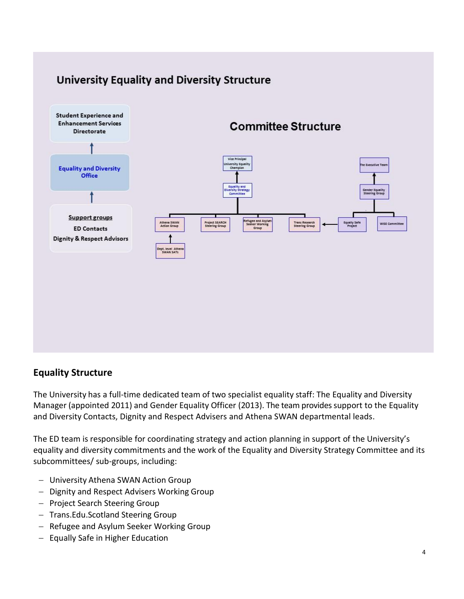

# **University Equality and Diversity Structure**

### **Equality Structure**

The University has a full-time dedicated team of two specialist equality staff: The Equality and Diversity Manager (appointed 2011) and Gender Equality Officer (2013). The team provides support to the Equality and Diversity Contacts, Dignity and Respect Advisers and Athena SWAN departmental leads.

The ED team is responsible for coordinating strategy and action planning in support of the University's equality and diversity commitments and the work of the Equality and Diversity Strategy Committee and its subcommittees/ sub-groups, including:

- University Athena SWAN Action Group
- Dignity and Respect Advisers Working Group
- Project Search Steering Group
- Trans.Edu.Scotland Steering Group
- Refugee and Asylum Seeker Working Group
- $-$  Equally Safe in Higher Education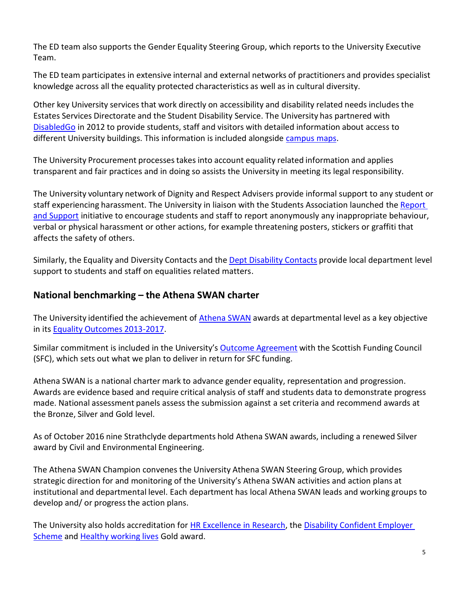The ED team also supports the Gender Equality Steering Group, which reports to the University Executive Team.

The ED team participates in extensive internal and external networks of practitioners and provides specialist knowledge across all the equality protected characteristics as well as in cultural diversity.

Other key University services that work directly on accessibility and disability related needs includes the Estates Services Directorate and the Student Disability Service. The University has partnered with [DisabledGo](http://www.disabledgo.com/organisations/university-of-strathclyde-glasgow/main-2) in 2012 to provide students, staff and visitors with detailed information about access to different University buildings. This information is included alongside [campus maps.](http://www.strath.ac.uk/maps/)

The University Procurement processestakes into account equality related information and applies transparent and fair practices and in doing so assists the University in meeting its legal responsibility.

The University voluntary network of Dignity and Respect Advisers provide informal support to any student or staff experiencing harassment. The University in liaison with the Students Association launched the [Report](http://www.strath.ac.uk/studywithus/strathlife/reportsupport/)  [and Support](http://www.strath.ac.uk/studywithus/strathlife/reportsupport/) initiative to encourage students and staff to report anonymously any inappropriate behaviour, verbal or physical harassment or other actions, for example threatening posters, stickers or graffiti that affects the safety of others.

Similarly, the Equality and Diversity Contacts and the Dept [Disability Contacts](http://www.strath.ac.uk/disabilityservice/informationforstaff/departmentaldisabilitycontactddcrole/) provide local department level support to students and staff on equalities related matters.

# **National benchmarking – the Athena SWAN charter**

The University identified the achievement of [Athena](http://www.ecu.ac.uk/equality-charters/athena-swan/) SWAN awards at departmental level as a key objective in its Equality Outcomes [2013-2017.](http://www.strath.ac.uk/equalitydiversity/equalitydutyreports/)

Similar commitment is included in the University's Outcome [Agreement](http://www.strath.ac.uk/media/publications/strategicplan/Outcome_Agreement_2013-14.pdf) [wi](http://www.strath.ac.uk/media/publications/strategicplan/Outcome_Agreement_2013-14.pdf)th the Scottish Funding Council (SFC), which sets out what we plan to deliver in return for SFC funding.

Athena SWAN is a national charter mark to advance gender equality, representation and progression. Awards are evidence based and require critical analysis of staff and students data to demonstrate progress made. National assessment panels assess the submission against a set criteria and recommend awards at the Bronze, Silver and Gold level.

As of October 2016 nine Strathclyde departments hold Athena SWAN awards, including a renewed Silver award by Civil and Environmental Engineering.

The Athena SWAN Champion convenes the University Athena SWAN Steering Group, which provides strategic direction for and monitoring of the University's Athena SWAN activities and action plans at institutional and departmental level. Each department has local Athena SWAN leads and working groups to develop and/ or progress the action plans.

The University also holds accreditation for HR [Excellence](http://www.strath.ac.uk/euhrexcellence/) in Researc[h,](http://www.strath.ac.uk/euhrexcellence/) the Disability [Confident](https://www.gov.uk/government/collections/disability-confident-campaign) Employer [Scheme](https://www.gov.uk/government/collections/disability-confident-campaign) and [Healthy](http://www.healthyworkinglives.com/) working lives Gold award.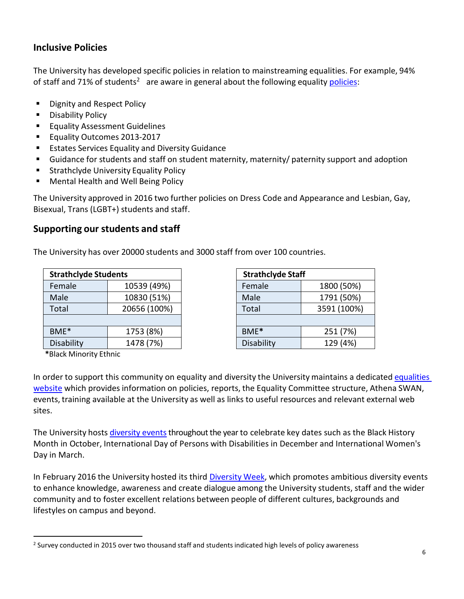# **Inclusive Policies**

The University has developed specific policies in relation to mainstreaming equalities. For example, 94% of staff and 71% of students<sup>2</sup> are aware in general about the following equality **policies**:

- **Dignity and Respect Policy**
- **Disability Policy**
- **Equality Assessment Guidelines**
- Equality Outcomes 2013-2017
- **Estates Services Equality and Diversity Guidance**
- Guidance for students and staff on student maternity, maternity/ paternity support and adoption
- **Strathclyde University Equality Policy**
- **Mental Health and Well Being Policy**

The University approved in 2016 two further policies on Dress Code and Appearance and Lesbian, Gay, Bisexual, Trans (LGBT+) students and staff.

### **Supporting our students and staff**

The University has over 20000 students and 3000 staff from over 100 countries.

| <b>Strathclyde Students</b> |              |  |  |  |
|-----------------------------|--------------|--|--|--|
| Female                      | 10539 (49%)  |  |  |  |
| Male                        | 10830 (51%)  |  |  |  |
| Total                       | 20656 (100%) |  |  |  |
|                             |              |  |  |  |
| BME <sup>*</sup>            | 1753 (8%)    |  |  |  |
| Disability                  | 1478 (7%)    |  |  |  |

| <b>Strathclyde Staff</b> |             |  |  |  |
|--------------------------|-------------|--|--|--|
| Female                   | 1800 (50%)  |  |  |  |
| Male                     | 1791 (50%)  |  |  |  |
| Total                    | 3591 (100%) |  |  |  |
|                          |             |  |  |  |
| BME*                     | 251 (7%)    |  |  |  |
| Disability               | 129 (4%)    |  |  |  |

 **\***Black Minority Ethnic

 $\overline{a}$ 

In order to support this community on equality and diversity the University maintains a dedicated [equalities](http://www.strath.ac.uk/equalitydiversity/eia/) [website](http://www.strath.ac.uk/equalitydiversity/eia/) which provides information on policies, reports, the Equality Committee structure, Athena SWAN, events, training available at the University as well as links to useful resources and relevant external web sites.

The University hosts [diversity events](http://www.strath.ac.uk/equalitydiversity/equalityevents/) throughout the year to celebrate key dates such as the Black History Month in October, International Day of Persons with Disabilities in December and International Women's Day in March.

In February 2016 the University hosted its thir[d Diversity](http://www.strath.ac.uk/equalitydiversity/diversityweek201720th-24thfebruary/) Week, which promotes ambitious diversity events to enhance knowledge, awareness and create dialogue among the University students, staff and the wider community and to foster excellent relations between people of different cultures, backgrounds and lifestyles on campus and beyond.

 $^2$  Survey conducted in 2015 over two thousand staff and students indicated high levels of policy awareness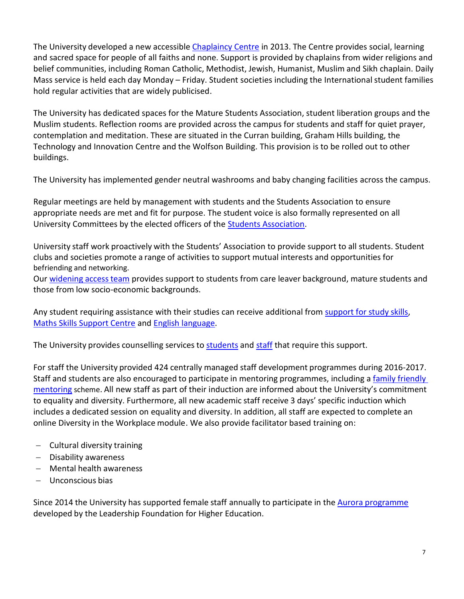The University developed a new accessible [Chaplaincy Centre](http://www.strath.ac.uk/chaplaincy/) in 2013. The Centre provides social, learning and sacred space for people of all faiths and none. Support is provided by chaplains from wider religions and belief communities, including Roman Catholic, Methodist, Jewish, Humanist, Muslim and Sikh chaplain. Daily Mass service is held each day Monday – Friday. Student societies including the International student families hold regular activities that are widely publicised.

The University has dedicated spaces for the Mature Students Association, student liberation groups and the Muslim students. Reflection rooms are provided across the campus for students and staff for quiet prayer, contemplation and meditation. These are situated in the Curran building, Graham Hills building, the Technology and Innovation Centre and the Wolfson Building. This provision is to be rolled out to other buildings.

The University has implemented gender neutral washrooms and baby changing facilities across the campus.

Regular meetings are held by management with students and the Students Association to ensure appropriate needs are met and fit for purpose. The student voice is also formally represented on all University Committees by the elected officers of the [Students Association.](http://www.strathstudents.com/)

University staff work proactively with the Students' [Association](http://www.strathstudents.com/) to provide support to all students. Student clubs and societies promote a range of activities to support mutual interests and opportunities for befriending and networking.

Our [widening](http://www.strath.ac.uk/sees/wideningaccess/) access team provides support to students from care leaver background, mature students and those from low socio-economic backgrounds.

Any student requiring assistance with their studies can receive additional from [support](http://www.strath.ac.uk/studyskills/) for study skills, [Maths Skills Support Centre](http://www.strath.ac.uk/mathsskills/) and English [language.](http://www.strath.ac.uk/studywithus/englishlanguageteaching/in-sessionalgeneralenglishenglishforacademicpurposes/)

The University provides counselling services to [students](http://www.strath.ac.uk/studentcounselling/) and [staff](http://www.strath.ac.uk/wellbeing/stressandmentalhealth/staffcounsellingandemployeeassistanceprogrammeeap/) that require this support.

For staff the University provided 424 centrally managed staff development programmes during 2016-2017. Staff and students are also encouraged to participate in mentoring programmes, including [a family friendly](http://www.strath.ac.uk/hr/mentoringstrathclyde/familyfriendly/)  [mentoring](http://www.strath.ac.uk/hr/mentoringstrathclyde/familyfriendly/) scheme. All new staff as part of their induction are informed about the University's commitment to equality and diversity. Furthermore, all new academic staff receive 3 days' specific induction which includes a dedicated session on equality and diversity. In addition, all staff are expected to complete an online Diversity in the Workplace module. We also provide facilitator based training on:

- Cultural diversity training
- Disability awareness
- Mental health awareness
- Unconscious bias

Since 2014 the University has supported female staff annually to participate in the [Aurora](http://www.lfhe.ac.uk/en/programmes-events/you/aurora/) [programme](http://www.lfhe.ac.uk/en/programmes-events/you/aurora/) developed by the Leadership Foundation for Higher Education.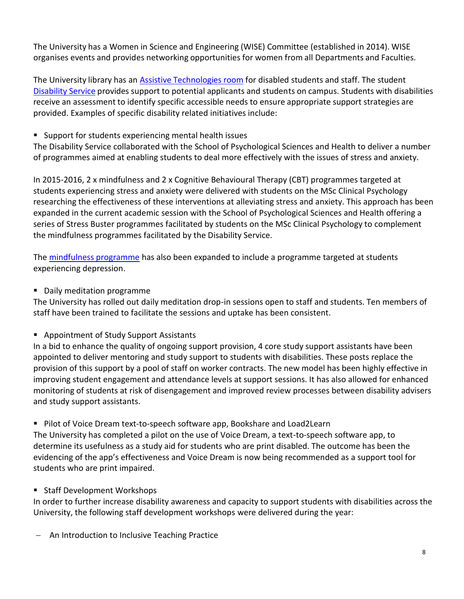The University has a Women in Science and Engineering (WISE) Committee (established in 2014). WISE organises events and provides networking opportunities for women from all Departments and Faculties.

The University library has an Assistive [Technologies](http://www.strath.ac.uk/library/services/assistive/atr/) room for disabled students and staff. The student [Disability](http://www.strath.ac.uk/disabilityservice/) Service provides support to potential applicants and students on campus. Students with disabilities receive an assessment to identify specific accessible needs to ensure appropriate support strategies are provided. Examples of specific disability related initiatives include:

Support for students experiencing mental health issues

The Disability Service collaborated with the School of Psychological Sciences and Health to deliver a number of programmes aimed at enabling students to deal more effectively with the issues of stress and anxiety.

In 2015-2016, 2 x mindfulness and 2 x Cognitive Behavioural Therapy (CBT) programmes targeted at students experiencing stress and anxiety were delivered with students on the MSc Clinical Psychology researching the effectiveness of these interventions at alleviating stress and anxiety. This approach has been expanded in the current academic session with the School of Psychological Sciences and Health offering a series of Stress Buster programmes facilitated by students on the MSc Clinical Psychology to complement the mindfulness programmes facilitated by the Disability Service.

The [mindfulness programme](http://www.strath.ac.uk/studentcounselling/mindfulness/) has also been expanded to include a programme targeted at students experiencing depression.

**Daily meditation programme** 

The University has rolled out daily meditation drop-in sessions open to staff and students. Ten members of staff have been trained to facilitate the sessions and uptake has been consistent.

■ Appointment of Study Support Assistants

In a bid to enhance the quality of ongoing support provision, 4 core study support assistants have been appointed to deliver mentoring and study support to students with disabilities. These posts replace the provision of this support by a pool of staff on worker contracts. The new model has been highly effective in improving student engagement and attendance levels at support sessions. It has also allowed for enhanced monitoring of students at risk of disengagement and improved review processes between disability advisers and study support assistants.

■ Pilot of Voice Dream text-to-speech software app, Bookshare and Load2Learn

The University has completed a pilot on the use of Voice Dream, a text-to-speech software app, to determine its usefulness as a study aid for students who are print disabled. The outcome has been the evidencing of the app's effectiveness and Voice Dream is now being recommended as a support tool for students who are print impaired.

■ Staff Development Workshops

In order to further increase disability awareness and capacity to support students with disabilities across the University, the following staff development workshops were delivered during the year:

- An Introduction to Inclusive Teaching Practice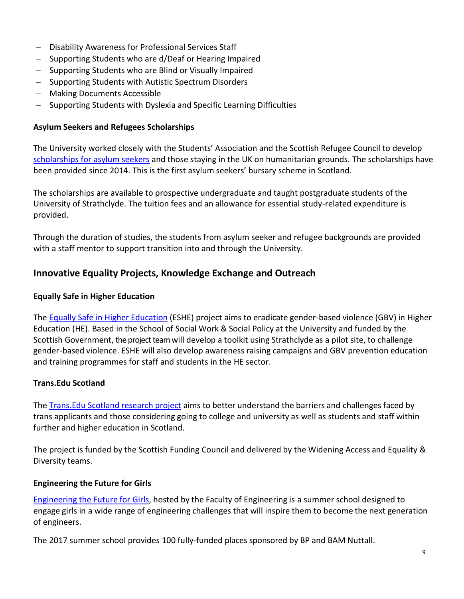- Disability Awareness for Professional Services Staff
- Supporting Students who are d/Deaf or Hearing Impaired
- Supporting Students who are Blind or Visually Impaired
- Supporting Students with Autistic Spectrum Disorders
- Making Documents Accessible
- Supporting Students with Dyslexia and Specific Learning Difficulties

#### **Asylum Seekers and Refugees Scholarships**

The University worked closely with the Students' Association and the Scottish Refugee Council to develop scholarships [for asylum seekers](http://www.strath.ac.uk/studywithus/scholarships/asylumseekerscholarship/) and those staying in the UK on humanitarian grounds. The scholarships have been provided since 2014. This is the first asylum seekers' bursary scheme in Scotland.

The scholarships are available to prospective undergraduate and taught postgraduate students of the University of Strathclyde. The tuition fees and an allowance for essential study-related expenditure is provided.

Through the duration of studies, the students from asylum seeker and refugee backgrounds are provided with a staff mentor to support transition into and through the University.

### **Innovative Equality Projects, Knowledge Exchange and Outreach**

#### **Equally Safe in Higher Education**

The **Equally Safe in Higher Education** (ESHE) project aims to eradicate gender-based violence (GBV) in Higher Education (HE). Based in the School of Social Work & Social Policy at the University and funded by the Scottish Government, the project team will develop a toolkit using Strathclyde as a pilot site, to challenge gender-based violence. ESHE will also develop awareness raising campaigns and GBV prevention education and training programmes for staff and students in the HE sector.

#### **Trans.Edu Scotland**

The [Trans.Edu Scotland](http://www.strath.ac.uk/equalitydiversity/equalitydiversityprojects/transeduscotland/) research project aims to better understand the barriers and challenges faced by trans applicants and those considering going to college and university as well as students and staff within further and higher education in Scotland.

The project is funded by the Scottish Funding Council and delivered by the Widening Access and Equality & Diversity teams.

#### **Engineering the Future for Girls**

[Engineering](http://www.strath.ac.uk/engineering/outreach/engineeringthefutureforgirls/) the Future for Girls, hosted by the Faculty of Engineering is a summer school designed to engage girls in a wide range of engineering challenges that will inspire them to become the next generation of engineers.

The 2017 summer school provides 100 fully-funded places sponsored by BP and BAM Nuttall.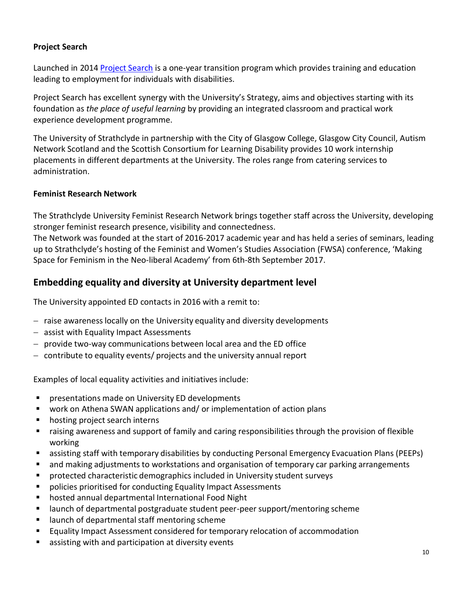### **Project Search**

Launched in 2014 [Project](http://www.autismnetworkscotland.org.uk/project-search/) Search is a one-year transition program which provides training and education leading to employment for individuals with disabilities.

Project Search has excellent synergy with the University's Strategy, aims and objectives starting with its foundation as *the place of useful learning* by providing an integrated classroom and practical work experience development programme.

The University of Strathclyde in partnership with the City of Glasgow College, Glasgow City Council, Autism Network Scotland and the Scottish Consortium for Learning Disability provides 10 work internship placements in different departments at the University. The roles range from catering services to administration.

### **Feminist Research Network**

The Strathclyde University Feminist Research Network brings together staff across the University, developing stronger feminist research presence, visibility and connectedness.

The Network was founded at the start of 2016-2017 academic year and has held a series of seminars, leading up to Strathclyde's hosting of the Feminist and Women's Studies Association (FWSA) conference, 'Making Space for Feminism in the Neo-liberal Academy' from 6th-8th September 2017.

# **Embedding equality and diversity at University department level**

The University appointed ED contacts in 2016 with a remit to:

- $-$  raise awareness locally on the University equality and diversity developments
- assist with Equality Impact Assessments
- $-$  provide two-way communications between local area and the ED office
- contribute to equality events/ projects and the university annual report

Examples of local equality activities and initiatives include:

- **P** presentations made on University ED developments
- work on Athena SWAN applications and/ or implementation of action plans
- **•** hosting project search interns
- raising awareness and support of family and caring responsibilities through the provision of flexible working
- assisting staff with temporary disabilities by conducting Personal Emergency Evacuation Plans (PEEPs)
- **E** and making adjustments to workstations and organisation of temporary car parking arrangements
- **P** protected characteristic demographics included in University student surveys
- policies prioritised for conducting Equality Impact Assessments
- hosted annual departmental International Food Night
- launch of departmental postgraduate student peer-peer support/mentoring scheme
- **EXEC** launch of departmental staff mentoring scheme
- **Equality Impact Assessment considered for temporary relocation of accommodation**
- assisting with and participation at diversity events